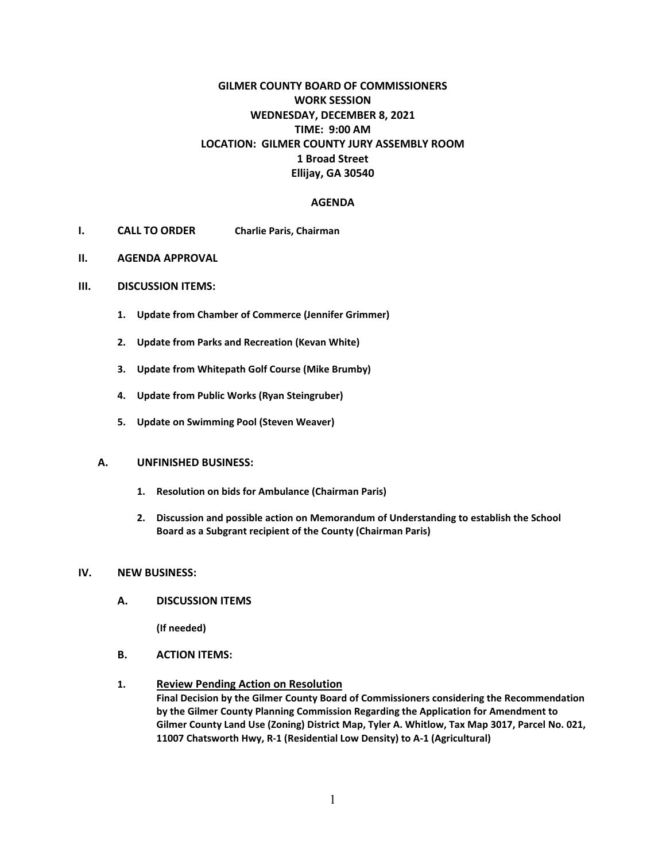# **GILMER COUNTY BOARD OF COMMISSIONERS WORK SESSION WEDNESDAY, DECEMBER 8, 2021 TIME: 9:00 AM LOCATION: GILMER COUNTY JURY ASSEMBLY ROOM 1 Broad Street Ellijay, GA 30540**

#### **AGENDA**

- **I. CALL TO ORDER Charlie Paris, Chairman**
- **II. AGENDA APPROVAL**
- **III. DISCUSSION ITEMS:**
	- **1. Update from Chamber of Commerce (Jennifer Grimmer)**
	- **2. Update from Parks and Recreation (Kevan White)**
	- **3. Update from Whitepath Golf Course (Mike Brumby)**
	- **4. Update from Public Works (Ryan Steingruber)**
	- **5. Update on Swimming Pool (Steven Weaver)**

#### **A. UNFINISHED BUSINESS:**

- **1. Resolution on bids for Ambulance (Chairman Paris)**
- **2. Discussion and possible action on Memorandum of Understanding to establish the School Board as a Subgrant recipient of the County (Chairman Paris)**

#### **IV. NEW BUSINESS:**

**A. DISCUSSION ITEMS**

**(If needed)**

- **B. ACTION ITEMS:**
- **1. Review Pending Action on Resolution Final Decision by the Gilmer County Board of Commissioners considering the Recommendation by the Gilmer County Planning Commission Regarding the Application for Amendment to Gilmer County Land Use (Zoning) District Map, Tyler A. Whitlow, Tax Map 3017, Parcel No. 021, 11007 Chatsworth Hwy, R-1 (Residential Low Density) to A-1 (Agricultural)**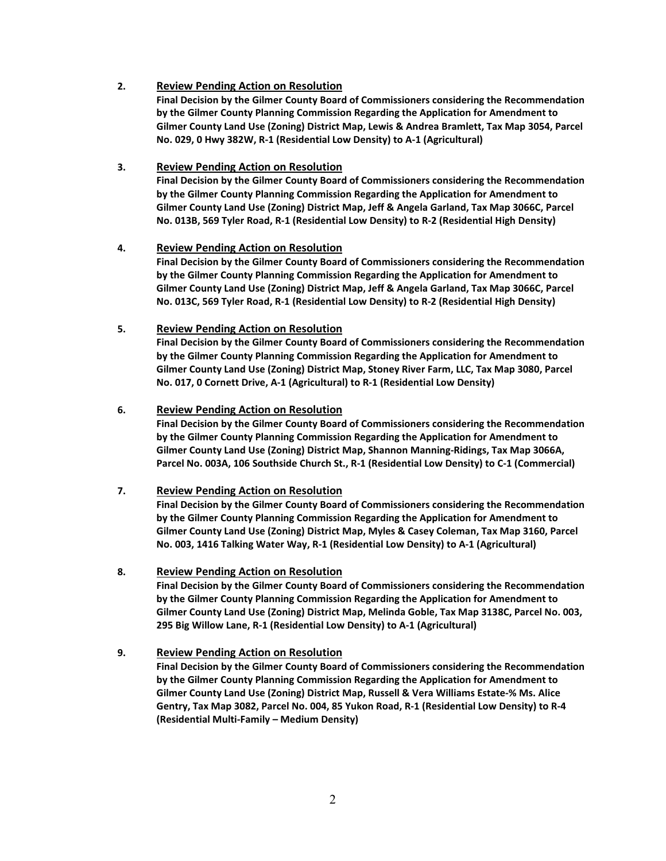## **2. Review Pending Action on Resolution**

**Final Decision by the Gilmer County Board of Commissioners considering the Recommendation by the Gilmer County Planning Commission Regarding the Application for Amendment to Gilmer County Land Use (Zoning) District Map, Lewis & Andrea Bramlett, Tax Map 3054, Parcel No. 029, 0 Hwy 382W, R-1 (Residential Low Density) to A-1 (Agricultural)**

## **3. Review Pending Action on Resolution**

**Final Decision by the Gilmer County Board of Commissioners considering the Recommendation by the Gilmer County Planning Commission Regarding the Application for Amendment to Gilmer County Land Use (Zoning) District Map, Jeff & Angela Garland, Tax Map 3066C, Parcel No. 013B, 569 Tyler Road, R-1 (Residential Low Density) to R-2 (Residential High Density)**

## **4. Review Pending Action on Resolution**

**Final Decision by the Gilmer County Board of Commissioners considering the Recommendation by the Gilmer County Planning Commission Regarding the Application for Amendment to Gilmer County Land Use (Zoning) District Map, Jeff & Angela Garland, Tax Map 3066C, Parcel No. 013C, 569 Tyler Road, R-1 (Residential Low Density) to R-2 (Residential High Density)**

## **5. Review Pending Action on Resolution**

**Final Decision by the Gilmer County Board of Commissioners considering the Recommendation by the Gilmer County Planning Commission Regarding the Application for Amendment to Gilmer County Land Use (Zoning) District Map, Stoney River Farm, LLC, Tax Map 3080, Parcel No. 017, 0 Cornett Drive, A-1 (Agricultural) to R-1 (Residential Low Density)**

## **6. Review Pending Action on Resolution**

**Final Decision by the Gilmer County Board of Commissioners considering the Recommendation by the Gilmer County Planning Commission Regarding the Application for Amendment to Gilmer County Land Use (Zoning) District Map, Shannon Manning-Ridings, Tax Map 3066A, Parcel No. 003A, 106 Southside Church St., R-1 (Residential Low Density) to C-1 (Commercial)**

# **7. Review Pending Action on Resolution**

**Final Decision by the Gilmer County Board of Commissioners considering the Recommendation by the Gilmer County Planning Commission Regarding the Application for Amendment to Gilmer County Land Use (Zoning) District Map, Myles & Casey Coleman, Tax Map 3160, Parcel No. 003, 1416 Talking Water Way, R-1 (Residential Low Density) to A-1 (Agricultural)**

#### **8. Review Pending Action on Resolution**

**Final Decision by the Gilmer County Board of Commissioners considering the Recommendation by the Gilmer County Planning Commission Regarding the Application for Amendment to Gilmer County Land Use (Zoning) District Map, Melinda Goble, Tax Map 3138C, Parcel No. 003, 295 Big Willow Lane, R-1 (Residential Low Density) to A-1 (Agricultural)**

# **9. Review Pending Action on Resolution**

**Final Decision by the Gilmer County Board of Commissioners considering the Recommendation by the Gilmer County Planning Commission Regarding the Application for Amendment to Gilmer County Land Use (Zoning) District Map, Russell & Vera Williams Estate-% Ms. Alice Gentry, Tax Map 3082, Parcel No. 004, 85 Yukon Road, R-1 (Residential Low Density) to R-4 (Residential Multi-Family – Medium Density)**